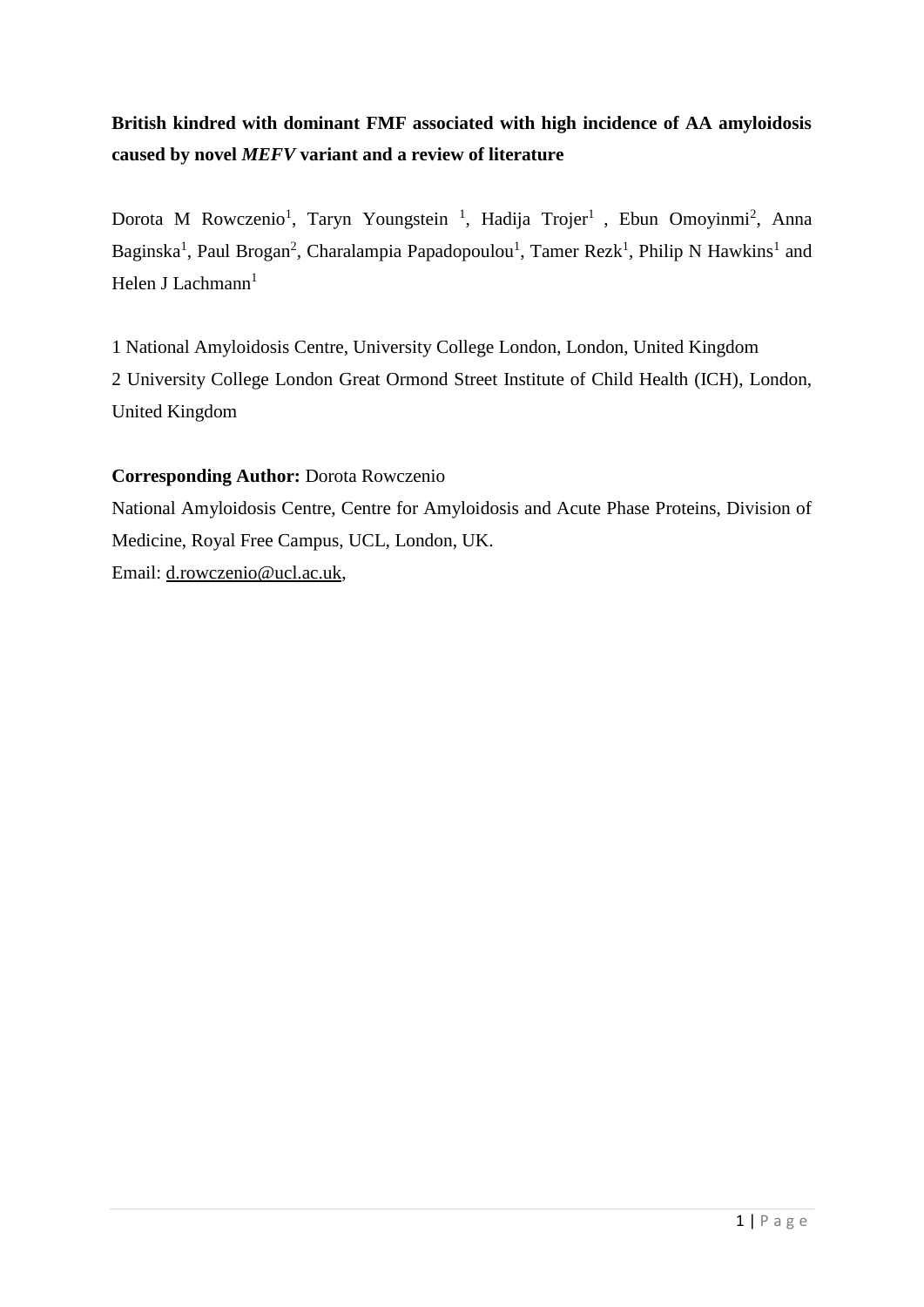# **British kindred with dominant FMF associated with high incidence of AA amyloidosis caused by novel** *MEFV* **variant and a review of literature**

Dorota M Rowczenio<sup>1</sup>, Taryn Youngstein<sup>1</sup>, Hadija Trojer<sup>1</sup>, Ebun Omoyinmi<sup>2</sup>, Anna Baginska<sup>1</sup>, Paul Brogan<sup>2</sup>, Charalampia Papadopoulou<sup>1</sup>, Tamer Rezk<sup>1</sup>, Philip N Hawkins<sup>1</sup> and Helen J Lachmann $<sup>1</sup>$ </sup>

1 National Amyloidosis Centre, University College London, London, United Kingdom 2 University College London Great Ormond Street Institute of Child Health (ICH), London, United Kingdom

# **Corresponding Author:** Dorota Rowczenio

National Amyloidosis Centre, Centre for Amyloidosis and Acute Phase Proteins, Division of Medicine, Royal Free Campus, UCL, London, UK. Email: [d.rowczenio@ucl.ac.uk,](mailto:d.rowczenio@ucl.ac.uk)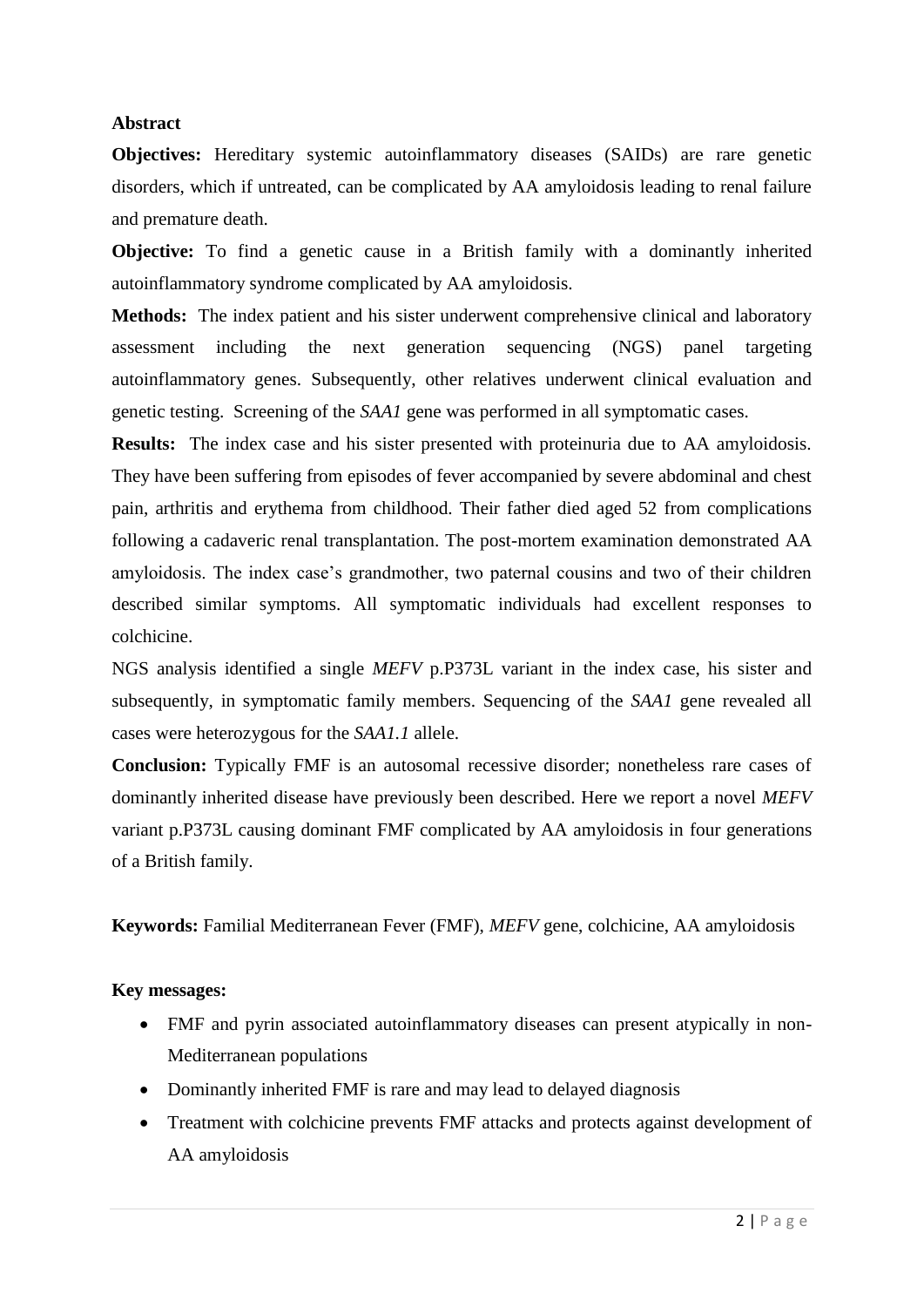# **Abstract**

**Objectives:** Hereditary systemic autoinflammatory diseases (SAIDs) are rare genetic disorders, which if untreated, can be complicated by AA amyloidosis leading to renal failure and premature death.

**Objective:** To find a genetic cause in a British family with a dominantly inherited autoinflammatory syndrome complicated by AA amyloidosis.

**Methods:** The index patient and his sister underwent comprehensive clinical and laboratory assessment including the next generation sequencing (NGS) panel targeting autoinflammatory genes. Subsequently, other relatives underwent clinical evaluation and genetic testing. Screening of the *SAA1* gene was performed in all symptomatic cases.

**Results:** The index case and his sister presented with proteinuria due to AA amyloidosis. They have been suffering from episodes of fever accompanied by severe abdominal and chest pain, arthritis and erythema from childhood. Their father died aged 52 from complications following a cadaveric renal transplantation. The post-mortem examination demonstrated AA amyloidosis. The index case's grandmother, two paternal cousins and two of their children described similar symptoms. All symptomatic individuals had excellent responses to colchicine.

NGS analysis identified a single *MEFV* p.P373L variant in the index case, his sister and subsequently, in symptomatic family members. Sequencing of the *SAA1* gene revealed all cases were heterozygous for the *SAA1.1* allele.

**Conclusion:** Typically FMF is an autosomal recessive disorder; nonetheless rare cases of dominantly inherited disease have previously been described. Here we report a novel *MEFV* variant p.P373L causing dominant FMF complicated by AA amyloidosis in four generations of a British family.

**Keywords:** Familial Mediterranean Fever (FMF), *MEFV* gene, colchicine, AA amyloidosis

# **Key messages:**

- FMF and pyrin associated autoinflammatory diseases can present atypically in non-Mediterranean populations
- Dominantly inherited FMF is rare and may lead to delayed diagnosis
- Treatment with colchicine prevents FMF attacks and protects against development of AA amyloidosis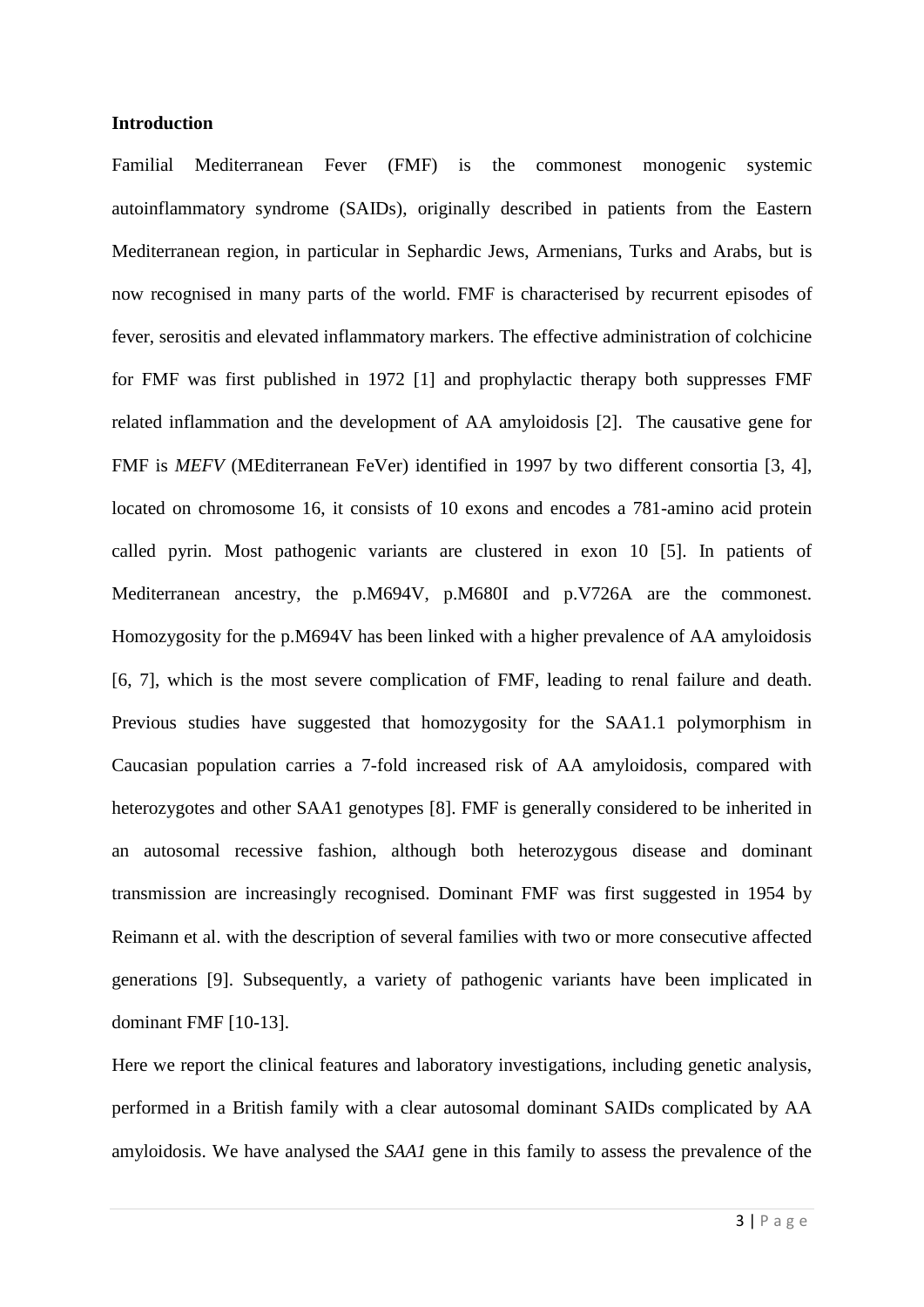## **Introduction**

Familial Mediterranean Fever (FMF) is the commonest monogenic systemic autoinflammatory syndrome (SAIDs), originally described in patients from the Eastern Mediterranean region, in particular in Sephardic Jews, Armenians, Turks and Arabs, but is now recognised in many parts of the world. FMF is characterised by recurrent episodes of fever, serositis and elevated inflammatory markers. The effective administration of colchicine for FMF was first published in 1972 [1] and prophylactic therapy both suppresses FMF related inflammation and the development of AA amyloidosis [2]. The causative gene for FMF is *MEFV* (MEditerranean FeVer) identified in 1997 by two different consortia [3, 4], located on chromosome 16, it consists of 10 exons and encodes a 781-amino acid protein called pyrin. Most pathogenic variants are clustered in exon 10 [5]. In patients of Mediterranean ancestry, the p.M694V, p.M680I and p.V726A are the commonest. Homozygosity for the p.M694V has been linked with a higher prevalence of AA amyloidosis [6, 7], which is the most severe complication of FMF, leading to renal failure and death. Previous studies have suggested that homozygosity for the SAA1.1 polymorphism in Caucasian population carries a 7-fold increased risk of AA amyloidosis, compared with heterozygotes and other SAA1 genotypes [8]. FMF is generally considered to be inherited in an autosomal recessive fashion, although both heterozygous disease and dominant transmission are increasingly recognised. Dominant FMF was first suggested in 1954 by Reimann et al. with the description of several families with two or more consecutive affected generations [9]. Subsequently, a variety of pathogenic variants have been implicated in dominant FMF [10-13].

Here we report the clinical features and laboratory investigations, including genetic analysis, performed in a British family with a clear autosomal dominant SAIDs complicated by AA amyloidosis. We have analysed the *SAA1* gene in this family to assess the prevalence of the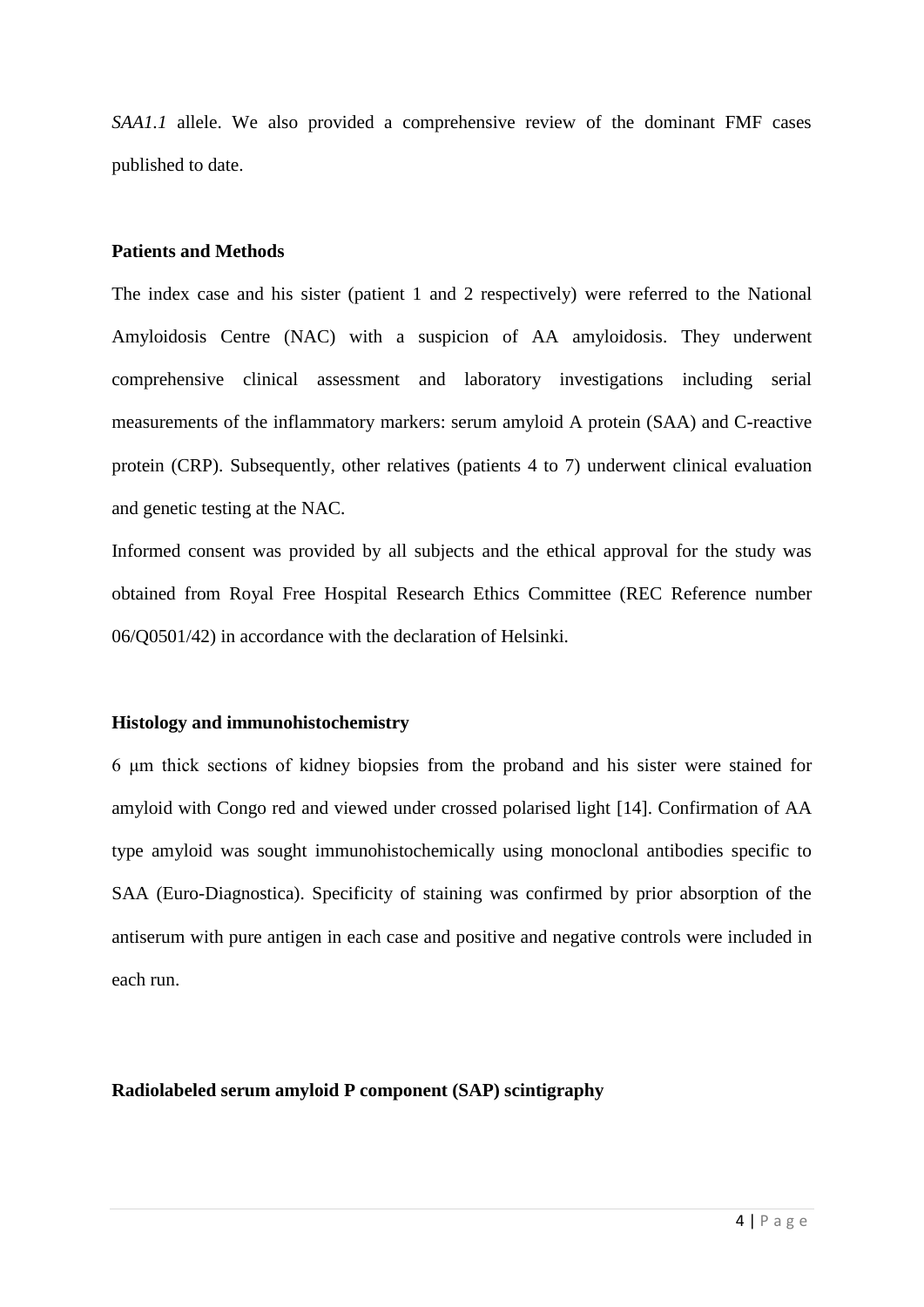*SAA1.1* allele. We also provided a comprehensive review of the dominant FMF cases published to date.

#### **Patients and Methods**

The index case and his sister (patient 1 and 2 respectively) were referred to the National Amyloidosis Centre (NAC) with a suspicion of AA amyloidosis. They underwent comprehensive clinical assessment and laboratory investigations including serial measurements of the inflammatory markers: serum amyloid A protein (SAA) and C-reactive protein (CRP). Subsequently, other relatives (patients 4 to 7) underwent clinical evaluation and genetic testing at the NAC.

Informed consent was provided by all subjects and the ethical approval for the study was obtained from Royal Free Hospital Research Ethics Committee (REC Reference number 06/Q0501/42) in accordance with the declaration of Helsinki.

#### **Histology and immunohistochemistry**

6 μm thick sections of kidney biopsies from the proband and his sister were stained for amyloid with Congo red and viewed under crossed polarised light [14]. Confirmation of AA type amyloid was sought immunohistochemically using monoclonal antibodies specific to SAA (Euro-Diagnostica). Specificity of staining was confirmed by prior absorption of the antiserum with pure antigen in each case and positive and negative controls were included in each run.

#### **Radiolabeled serum amyloid P component (SAP) scintigraphy**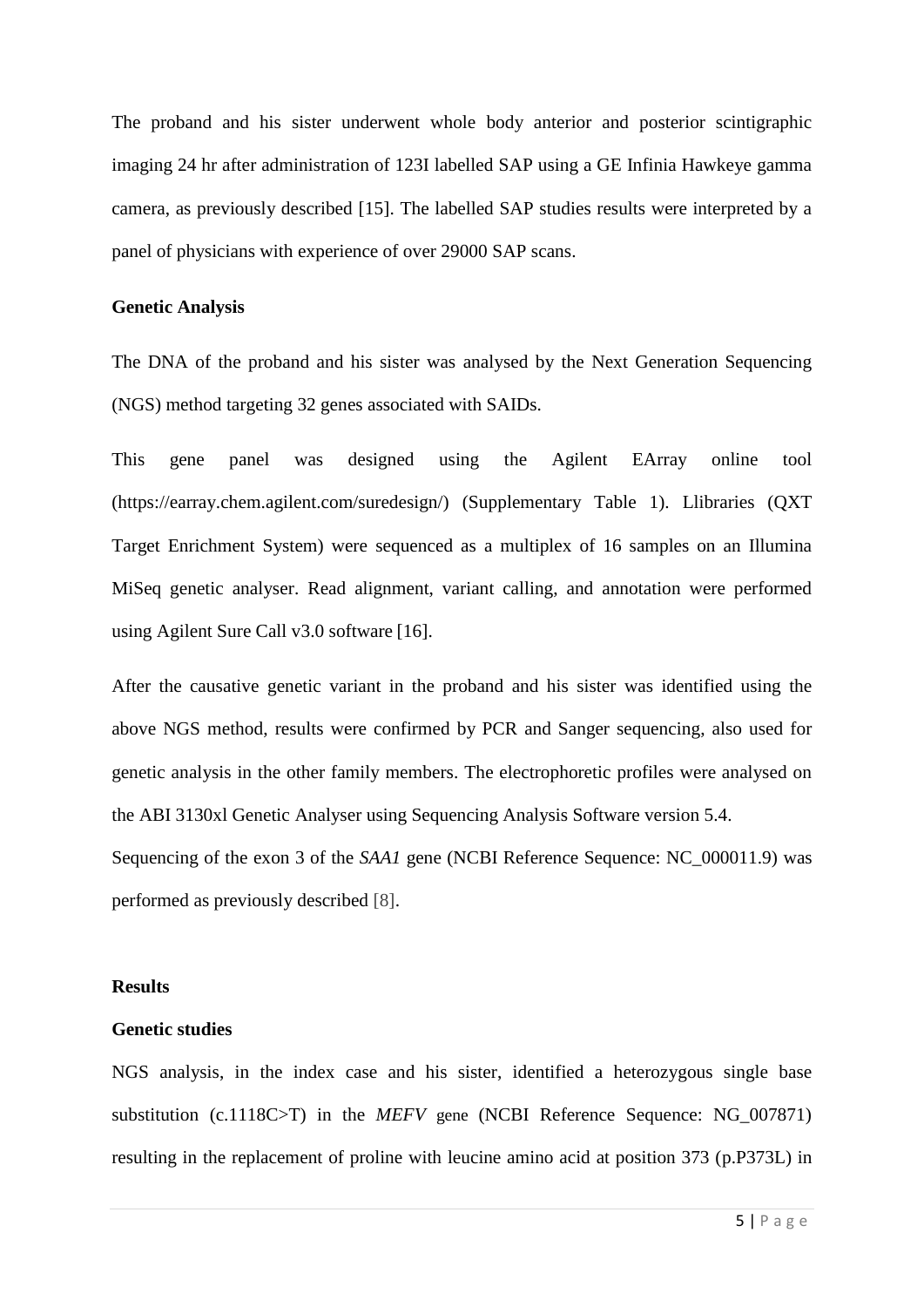The proband and his sister underwent whole body anterior and posterior scintigraphic imaging 24 hr after administration of 123I labelled SAP using a GE Infinia Hawkeye gamma camera, as previously described [15]. The labelled SAP studies results were interpreted by a panel of physicians with experience of over 29000 SAP scans.

#### **Genetic Analysis**

The DNA of the proband and his sister was analysed by the Next Generation Sequencing (NGS) method targeting 32 genes associated with SAIDs.

This gene panel was designed using the Agilent EArray online tool (https://earray.chem.agilent.com/suredesign/) (Supplementary Table 1). Llibraries (QXT Target Enrichment System) were sequenced as a multiplex of 16 samples on an Illumina MiSeq genetic analyser. Read alignment, variant calling, and annotation were performed using Agilent Sure Call v3.0 software [16].

After the causative genetic variant in the proband and his sister was identified using the above NGS method, results were confirmed by PCR and Sanger sequencing, also used for genetic analysis in the other family members. The electrophoretic profiles were analysed on the ABI 3130xl Genetic Analyser using Sequencing Analysis Software version 5.4. Sequencing of the exon 3 of the *SAA1* gene (NCBI Reference Sequence: NC 000011.9) was performed as previously described [8].

#### **Results**

## **Genetic studies**

NGS analysis, in the index case and his sister, identified a heterozygous single base substitution (c.1118C>T) in the *MEFV* gene (NCBI Reference Sequence: NG\_007871) resulting in the replacement of proline with leucine amino acid at position 373 (p.P373L) in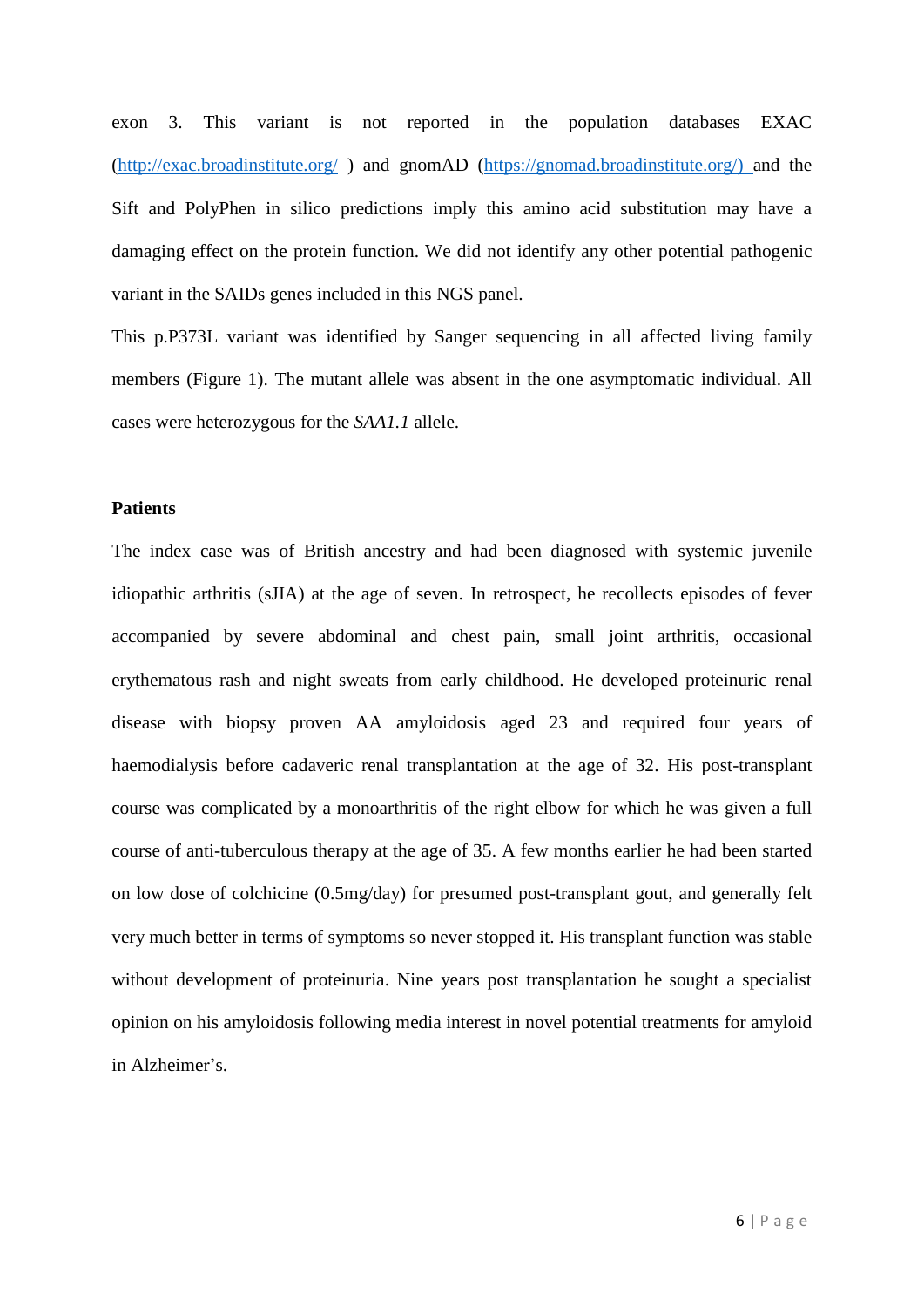exon 3. This variant is not reported in the population databases EXAC [\(http://exac.broadinstitute.org/](http://exac.broadinstitute.org/) ) and gnomAD [\(https://gnomad.broadinstitute.org/\) a](https://gnomad.broadinstitute.org/))nd the Sift and PolyPhen in silico predictions imply this amino acid substitution may have a damaging effect on the protein function. We did not identify any other potential pathogenic variant in the SAIDs genes included in this NGS panel.

This p.P373L variant was identified by Sanger sequencing in all affected living family members (Figure 1). The mutant allele was absent in the one asymptomatic individual. All cases were heterozygous for the *SAA1.1* allele.

# **Patients**

The index case was of British ancestry and had been diagnosed with systemic juvenile idiopathic arthritis (sJIA) at the age of seven. In retrospect, he recollects episodes of fever accompanied by severe abdominal and chest pain, small joint arthritis, occasional erythematous rash and night sweats from early childhood. He developed proteinuric renal disease with biopsy proven AA amyloidosis aged 23 and required four years of haemodialysis before cadaveric renal transplantation at the age of 32. His post-transplant course was complicated by a monoarthritis of the right elbow for which he was given a full course of anti-tuberculous therapy at the age of 35. A few months earlier he had been started on low dose of colchicine (0.5mg/day) for presumed post-transplant gout, and generally felt very much better in terms of symptoms so never stopped it. His transplant function was stable without development of proteinuria. Nine years post transplantation he sought a specialist opinion on his amyloidosis following media interest in novel potential treatments for amyloid in Alzheimer's.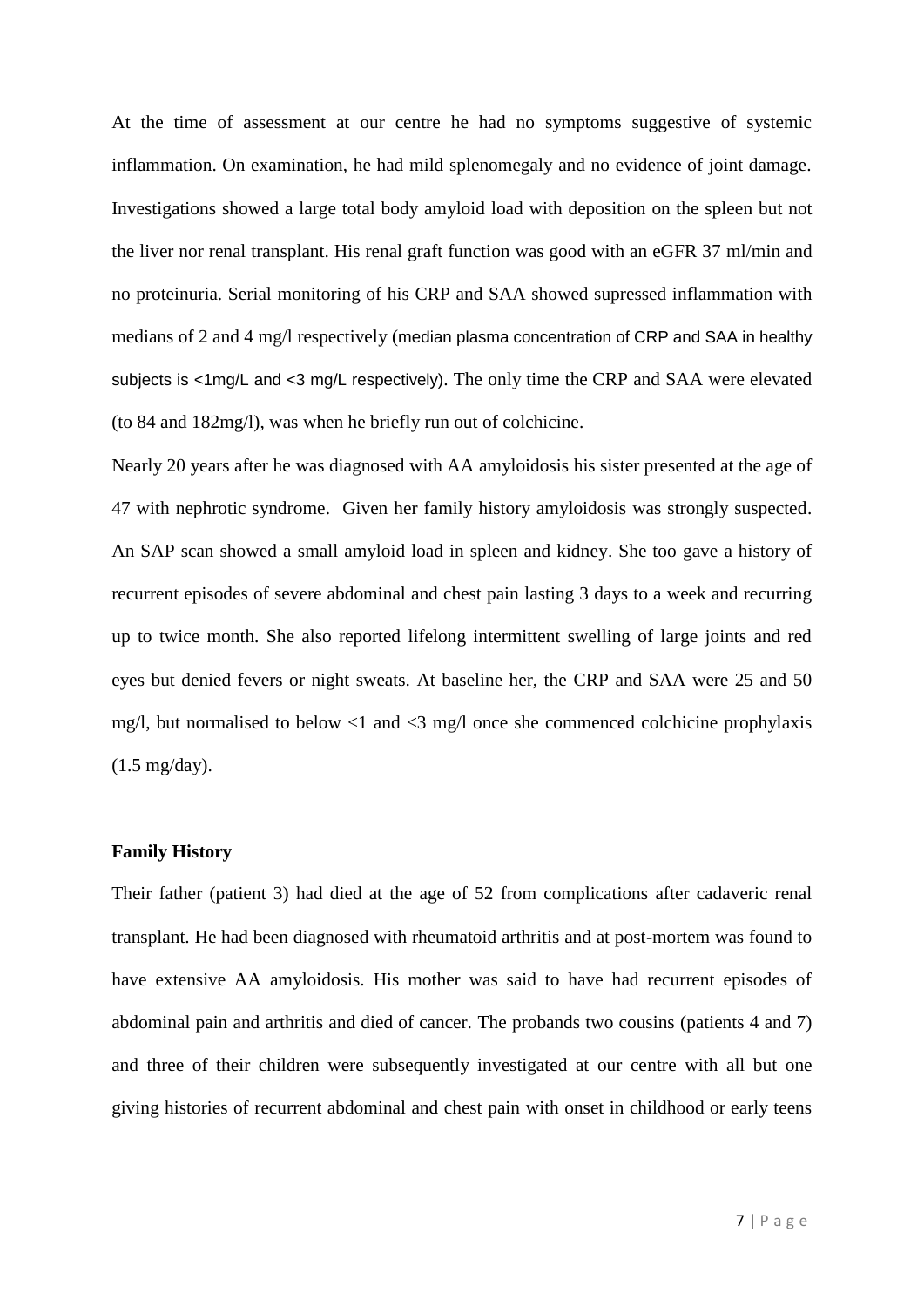At the time of assessment at our centre he had no symptoms suggestive of systemic inflammation. On examination, he had mild splenomegaly and no evidence of joint damage. Investigations showed a large total body amyloid load with deposition on the spleen but not the liver nor renal transplant. His renal graft function was good with an eGFR 37 ml/min and no proteinuria. Serial monitoring of his CRP and SAA showed supressed inflammation with medians of 2 and 4 mg/l respectively (median plasma concentration of CRP and SAA in healthy subjects is <1mg/L and <3 mg/L respectively). The only time the CRP and SAA were elevated (to 84 and 182mg/l), was when he briefly run out of colchicine.

Nearly 20 years after he was diagnosed with AA amyloidosis his sister presented at the age of 47 with nephrotic syndrome. Given her family history amyloidosis was strongly suspected. An SAP scan showed a small amyloid load in spleen and kidney. She too gave a history of recurrent episodes of severe abdominal and chest pain lasting 3 days to a week and recurring up to twice month. She also reported lifelong intermittent swelling of large joints and red eyes but denied fevers or night sweats. At baseline her, the CRP and SAA were 25 and 50 mg/l, but normalised to below  $\langle 1 \rangle$  and  $\langle 3 \rangle$  mg/l once she commenced colchicine prophylaxis (1.5 mg/day).

#### **Family History**

Their father (patient 3) had died at the age of 52 from complications after cadaveric renal transplant. He had been diagnosed with rheumatoid arthritis and at post-mortem was found to have extensive AA amyloidosis. His mother was said to have had recurrent episodes of abdominal pain and arthritis and died of cancer. The probands two cousins (patients 4 and 7) and three of their children were subsequently investigated at our centre with all but one giving histories of recurrent abdominal and chest pain with onset in childhood or early teens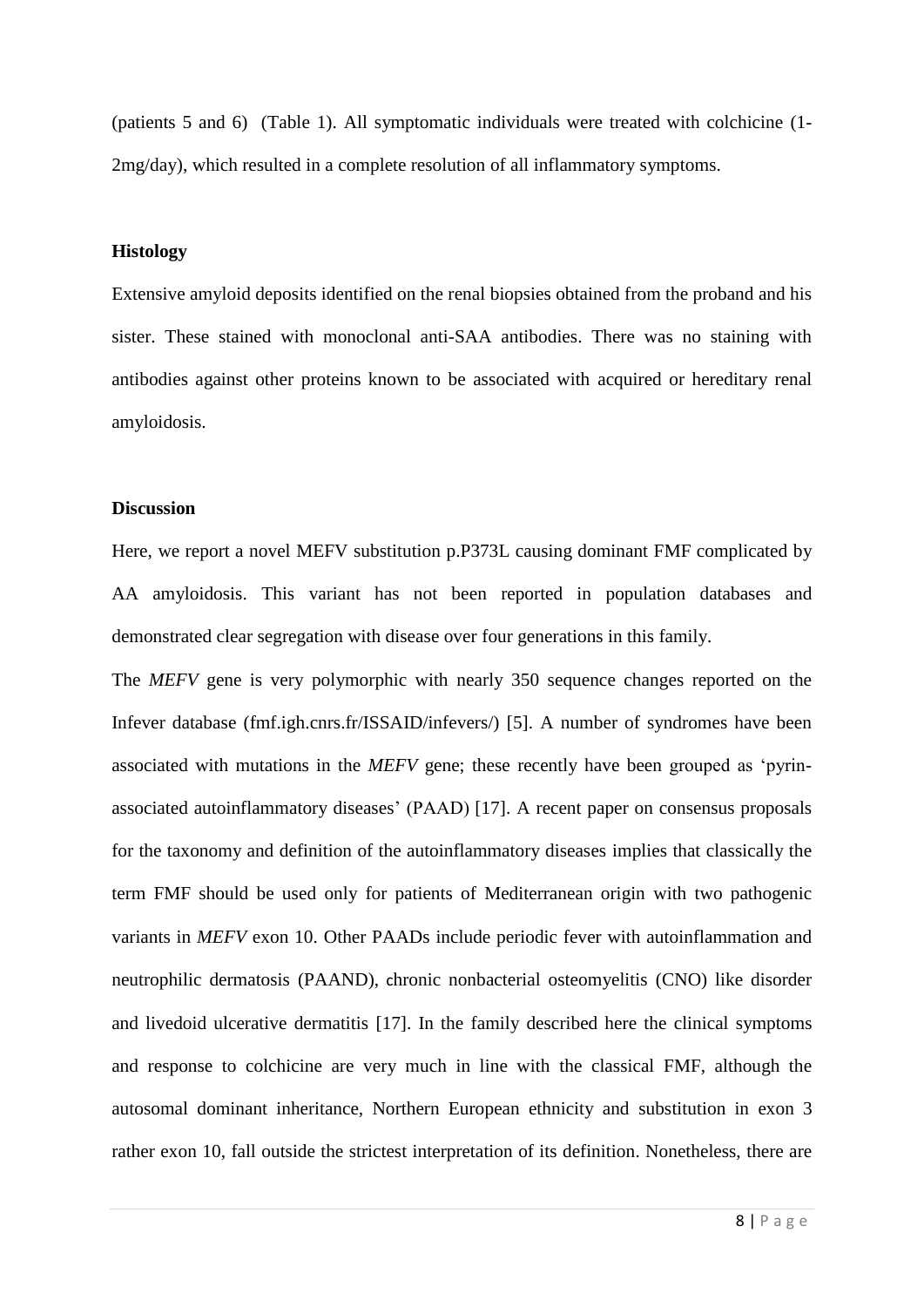(patients 5 and 6) (Table 1). All symptomatic individuals were treated with colchicine (1- 2mg/day), which resulted in a complete resolution of all inflammatory symptoms.

#### **Histology**

Extensive amyloid deposits identified on the renal biopsies obtained from the proband and his sister. These stained with monoclonal anti-SAA antibodies. There was no staining with antibodies against other proteins known to be associated with acquired or hereditary renal amyloidosis.

#### **Discussion**

Here, we report a novel MEFV substitution p.P373L causing dominant FMF complicated by AA amyloidosis. This variant has not been reported in population databases and demonstrated clear segregation with disease over four generations in this family.

The *MEFV* gene is very polymorphic with nearly 350 sequence changes reported on the Infever database (fmf.igh.cnrs.fr/ISSAID/infevers/) [5]. A number of syndromes have been associated with mutations in the *MEFV* gene; these recently have been grouped as 'pyrinassociated autoinflammatory diseases' (PAAD) [17]. A recent paper on consensus proposals for the taxonomy and definition of the autoinflammatory diseases implies that classically the term FMF should be used only for patients of Mediterranean origin with two pathogenic variants in *MEFV* exon 10. Other PAADs include periodic fever with autoinflammation and neutrophilic dermatosis (PAAND), chronic nonbacterial osteomyelitis (CNO) like disorder and livedoid ulcerative dermatitis [17]. In the family described here the clinical symptoms and response to colchicine are very much in line with the classical FMF, although the autosomal dominant inheritance, Northern European ethnicity and substitution in exon 3 rather exon 10, fall outside the strictest interpretation of its definition. Nonetheless, there are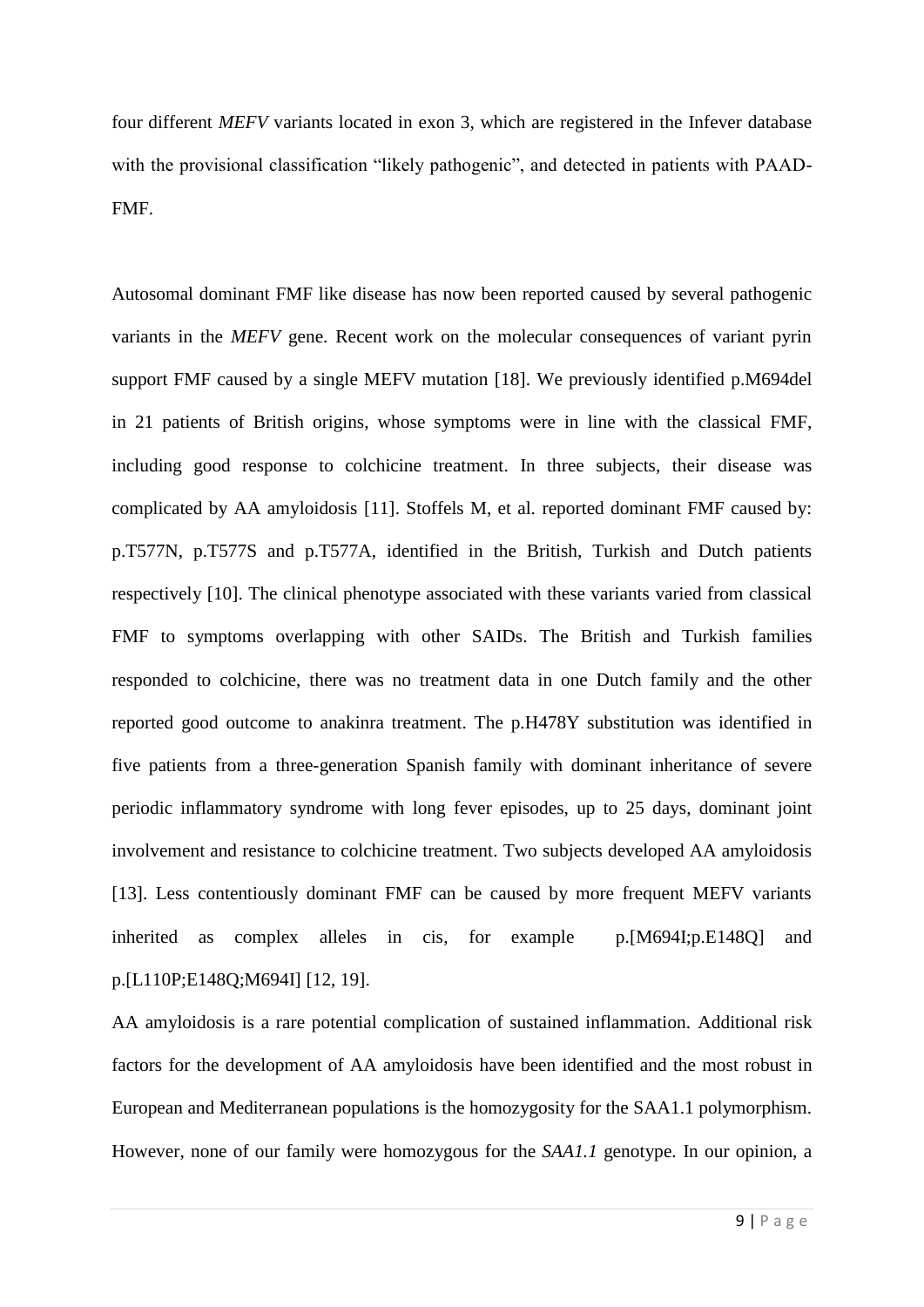four different *MEFV* variants located in exon 3, which are registered in the Infever database with the provisional classification "likely pathogenic", and detected in patients with PAAD-FMF.

Autosomal dominant FMF like disease has now been reported caused by several pathogenic variants in the *MEFV* gene. Recent work on the molecular consequences of variant pyrin support FMF caused by a single MEFV mutation [18]. We previously identified p.M694del in 21 patients of British origins, whose symptoms were in line with the classical FMF, including good response to colchicine treatment. In three subjects, their disease was complicated by AA amyloidosis [11]. Stoffels M, et al. reported dominant FMF caused by: p.T577N, p.T577S and p.T577A, identified in the British, Turkish and Dutch patients respectively [10]. The clinical phenotype associated with these variants varied from classical FMF to symptoms overlapping with other SAIDs. The British and Turkish families responded to colchicine, there was no treatment data in one Dutch family and the other reported good outcome to anakinra treatment. The p.H478Y substitution was identified in five patients from a three-generation Spanish family with dominant inheritance of severe periodic inflammatory syndrome with long fever episodes, up to 25 days, dominant joint involvement and resistance to colchicine treatment. Two subjects developed AA amyloidosis [13]. Less contentiously dominant FMF can be caused by more frequent MEFV variants inherited as complex alleles in cis, for example p.[M694I;p.E148Q] and p.[L110P;E148Q;M694I] [12, 19].

AA amyloidosis is a rare potential complication of sustained inflammation. Additional risk factors for the development of AA amyloidosis have been identified and the most robust in European and Mediterranean populations is the homozygosity for the SAA1.1 polymorphism. However, none of our family were homozygous for the *SAA1.1* genotype. In our opinion, a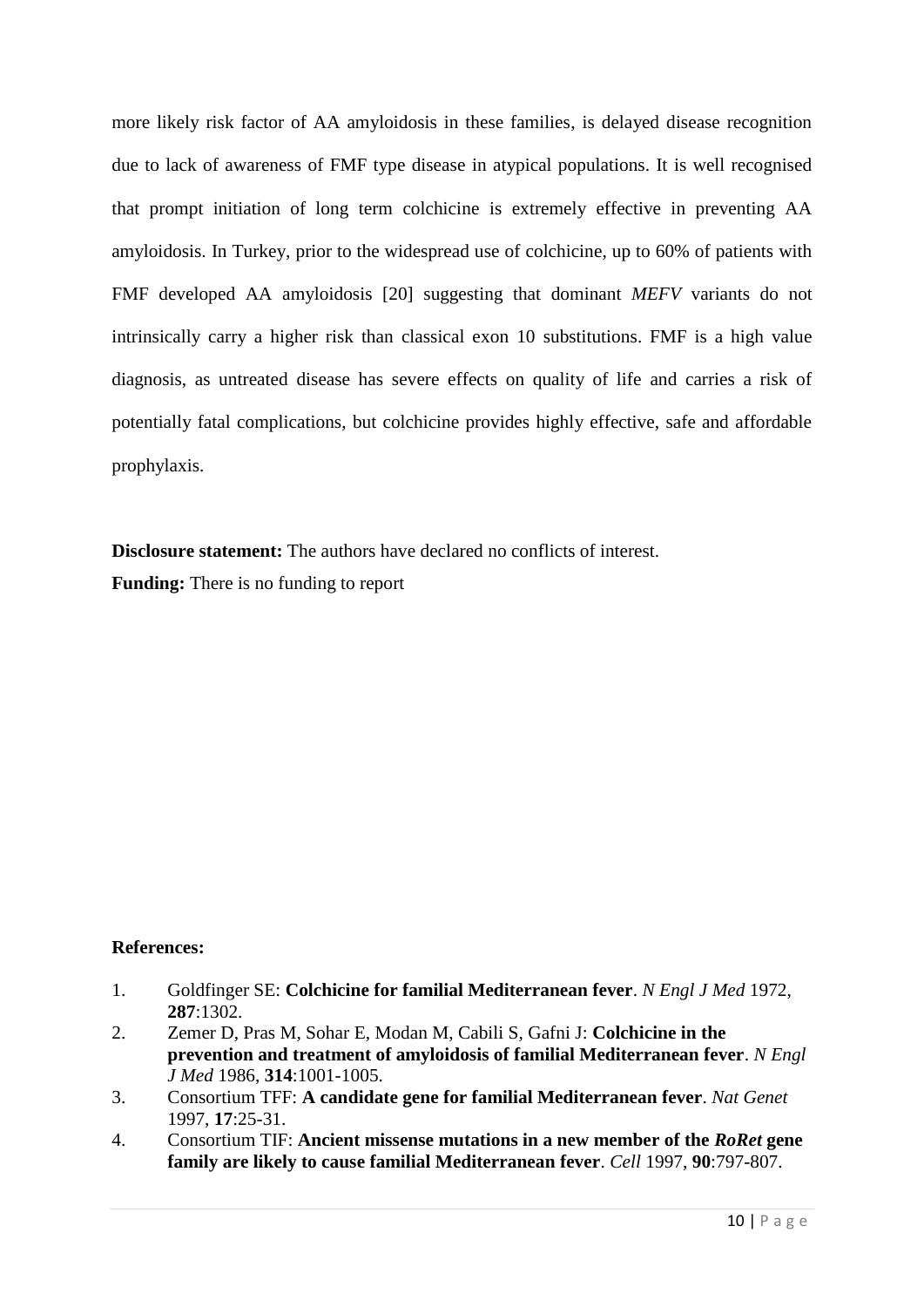more likely risk factor of AA amyloidosis in these families, is delayed disease recognition due to lack of awareness of FMF type disease in atypical populations. It is well recognised that prompt initiation of long term colchicine is extremely effective in preventing AA amyloidosis. In Turkey, prior to the widespread use of colchicine, up to 60% of patients with FMF developed AA amyloidosis [20] suggesting that dominant *MEFV* variants do not intrinsically carry a higher risk than classical exon 10 substitutions. FMF is a high value diagnosis, as untreated disease has severe effects on quality of life and carries a risk of potentially fatal complications, but colchicine provides highly effective, safe and affordable prophylaxis.

**Disclosure statement:** The authors have declared no conflicts of interest.

**Funding:** There is no funding to report

# **References:**

- 1. Goldfinger SE: **Colchicine for familial Mediterranean fever**. *N Engl J Med* 1972, **287**:1302.
- 2. Zemer D, Pras M, Sohar E, Modan M, Cabili S, Gafni J: **Colchicine in the prevention and treatment of amyloidosis of familial Mediterranean fever**. *N Engl J Med* 1986, **314**:1001-1005.
- 3. Consortium TFF: **A candidate gene for familial Mediterranean fever**. *Nat Genet*  1997, **17**:25-31.
- 4. Consortium TIF: **Ancient missense mutations in a new member of the** *RoRet* **gene family are likely to cause familial Mediterranean fever**. *Cell* 1997, **90**:797-807.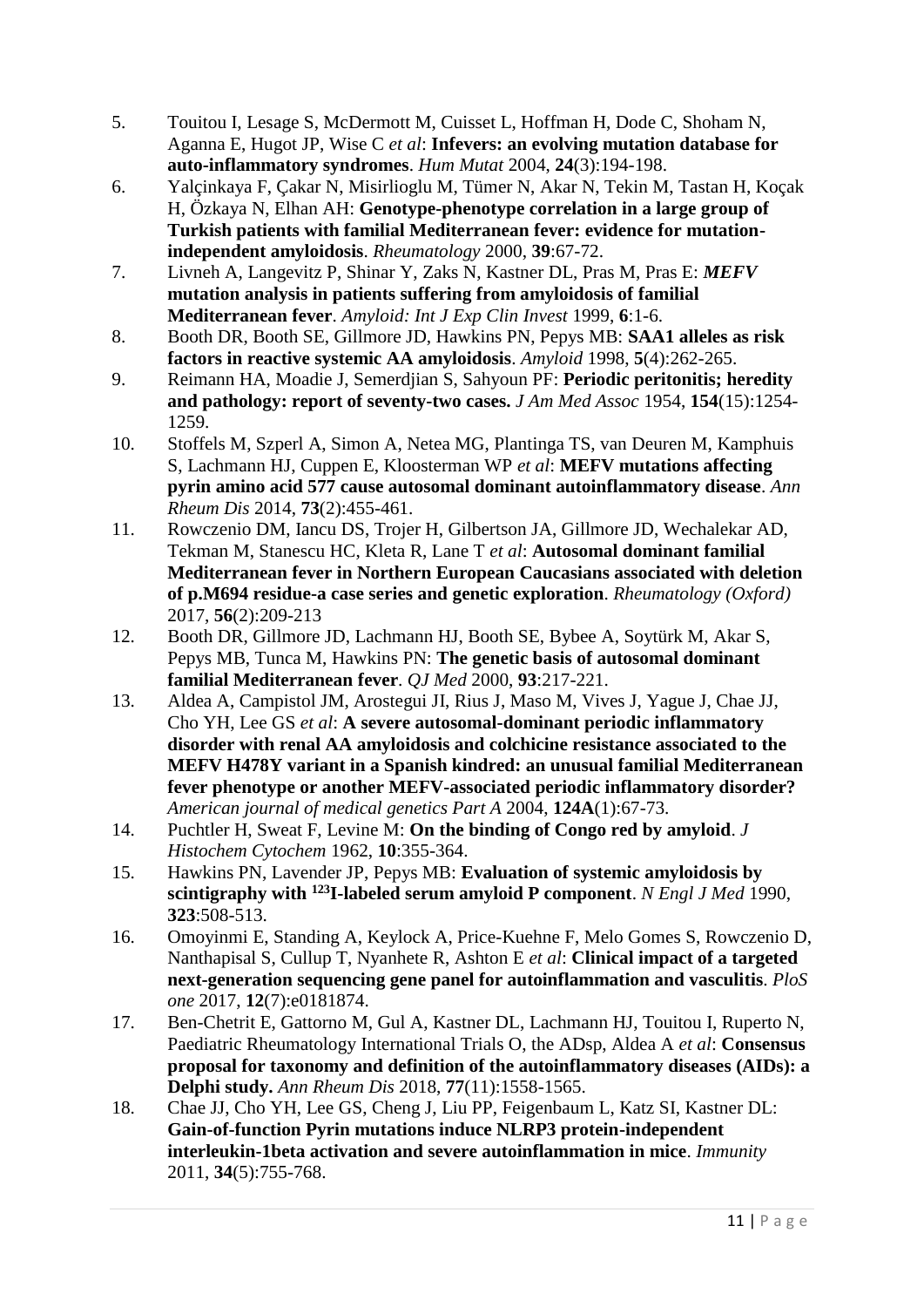- 5. Touitou I, Lesage S, McDermott M, Cuisset L, Hoffman H, Dode C, Shoham N, Aganna E, Hugot JP, Wise C *et al*: **Infevers: an evolving mutation database for auto-inflammatory syndromes**. *Hum Mutat* 2004, **24**(3):194-198.
- 6. Yalçinkaya F, Çakar N, Misirlioglu M, Tümer N, Akar N, Tekin M, Tastan H, Koçak H, Özkaya N, Elhan AH: **Genotype-phenotype correlation in a large group of Turkish patients with familial Mediterranean fever: evidence for mutationindependent amyloidosis**. *Rheumatology* 2000, **39**:67-72.
- 7. Livneh A, Langevitz P, Shinar Y, Zaks N, Kastner DL, Pras M, Pras E: *MEFV* **mutation analysis in patients suffering from amyloidosis of familial Mediterranean fever**. *Amyloid: Int J Exp Clin Invest* 1999, **6**:1-6.
- 8. Booth DR, Booth SE, Gillmore JD, Hawkins PN, Pepys MB: **SAA1 alleles as risk factors in reactive systemic AA amyloidosis**. *Amyloid* 1998, **5**(4):262-265.
- 9. Reimann HA, Moadie J, Semerdjian S, Sahyoun PF: **Periodic peritonitis; heredity and pathology: report of seventy-two cases.** *J Am Med Assoc* 1954, **154**(15):1254- 1259.
- 10. Stoffels M, Szperl A, Simon A, Netea MG, Plantinga TS, van Deuren M, Kamphuis S, Lachmann HJ, Cuppen E, Kloosterman WP *et al*: **MEFV mutations affecting pyrin amino acid 577 cause autosomal dominant autoinflammatory disease**. *Ann Rheum Dis* 2014, **73**(2):455-461.
- 11. Rowczenio DM, Iancu DS, Trojer H, Gilbertson JA, Gillmore JD, Wechalekar AD, Tekman M, Stanescu HC, Kleta R, Lane T *et al*: **Autosomal dominant familial Mediterranean fever in Northern European Caucasians associated with deletion of p.M694 residue-a case series and genetic exploration**. *Rheumatology (Oxford)*  2017, **56**(2):209-213
- 12. Booth DR, Gillmore JD, Lachmann HJ, Booth SE, Bybee A, Soytürk M, Akar S, Pepys MB, Tunca M, Hawkins PN: **The genetic basis of autosomal dominant familial Mediterranean fever**. *QJ Med* 2000, **93**:217-221.
- 13. Aldea A, Campistol JM, Arostegui JI, Rius J, Maso M, Vives J, Yague J, Chae JJ, Cho YH, Lee GS *et al*: **A severe autosomal-dominant periodic inflammatory disorder with renal AA amyloidosis and colchicine resistance associated to the MEFV H478Y variant in a Spanish kindred: an unusual familial Mediterranean fever phenotype or another MEFV-associated periodic inflammatory disorder?** *American journal of medical genetics Part A* 2004, **124A**(1):67-73.
- 14. Puchtler H, Sweat F, Levine M: **On the binding of Congo red by amyloid**. *J Histochem Cytochem* 1962, **10**:355-364.
- 15. Hawkins PN, Lavender JP, Pepys MB: **Evaluation of systemic amyloidosis by scintigraphy with <sup>123</sup>I-labeled serum amyloid P component**. *N Engl J Med* 1990, **323**:508-513.
- 16. Omoyinmi E, Standing A, Keylock A, Price-Kuehne F, Melo Gomes S, Rowczenio D, Nanthapisal S, Cullup T, Nyanhete R, Ashton E *et al*: **Clinical impact of a targeted next-generation sequencing gene panel for autoinflammation and vasculitis**. *PloS one* 2017, **12**(7):e0181874.
- 17. Ben-Chetrit E, Gattorno M, Gul A, Kastner DL, Lachmann HJ, Touitou I, Ruperto N, Paediatric Rheumatology International Trials O, the ADsp, Aldea A *et al*: **Consensus proposal for taxonomy and definition of the autoinflammatory diseases (AIDs): a Delphi study.** *Ann Rheum Dis* 2018, **77**(11):1558-1565.
- 18. Chae JJ, Cho YH, Lee GS, Cheng J, Liu PP, Feigenbaum L, Katz SI, Kastner DL: **Gain-of-function Pyrin mutations induce NLRP3 protein-independent interleukin-1beta activation and severe autoinflammation in mice**. *Immunity*  2011, **34**(5):755-768.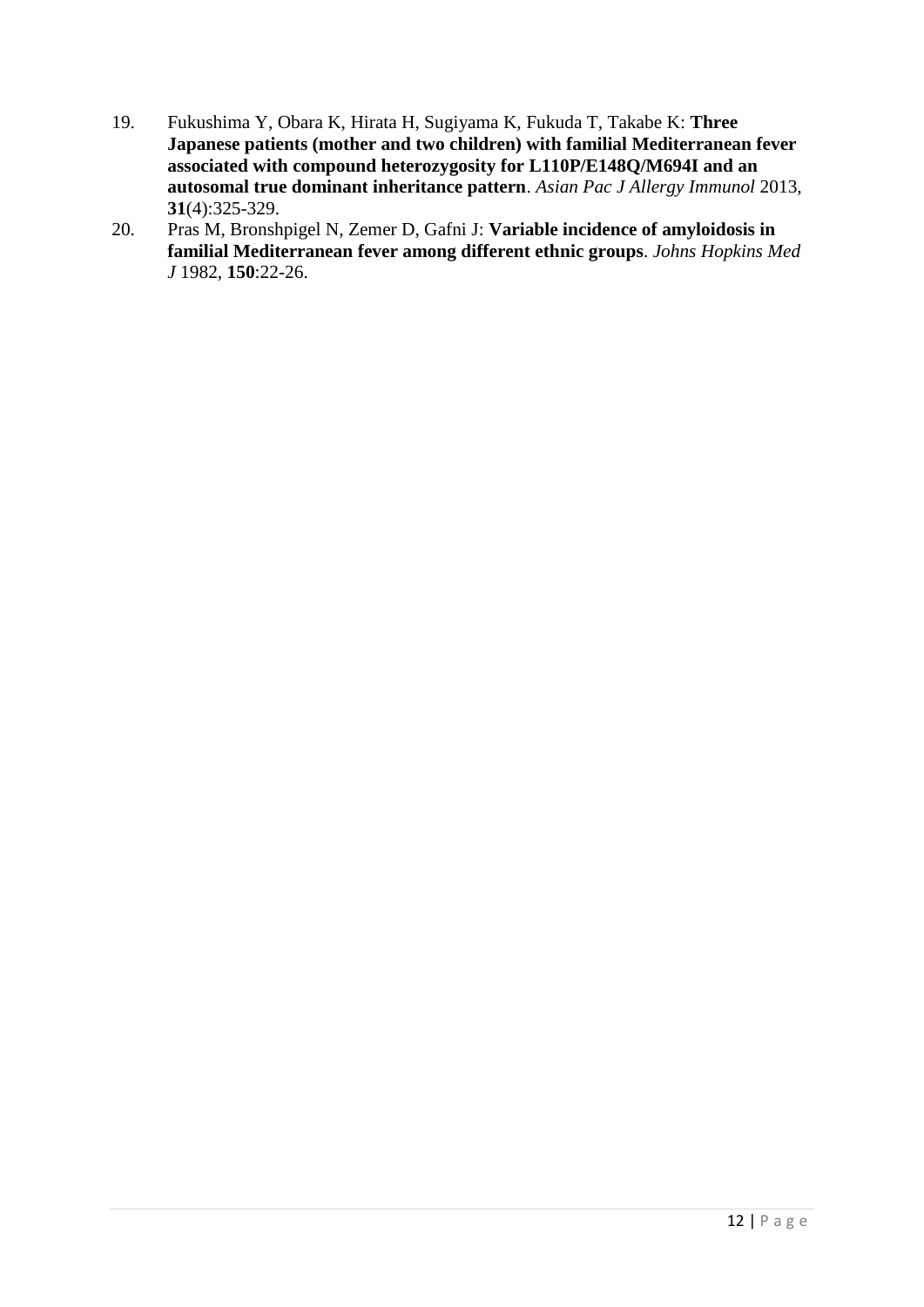- 19. Fukushima Y, Obara K, Hirata H, Sugiyama K, Fukuda T, Takabe K: **Three Japanese patients (mother and two children) with familial Mediterranean fever associated with compound heterozygosity for L110P/E148Q/M694I and an autosomal true dominant inheritance pattern**. *Asian Pac J Allergy Immunol* 2013, **31**(4):325-329.
- 20. Pras M, Bronshpigel N, Zemer D, Gafni J: **Variable incidence of amyloidosis in familial Mediterranean fever among different ethnic groups**. *Johns Hopkins Med J* 1982, **150**:22-26.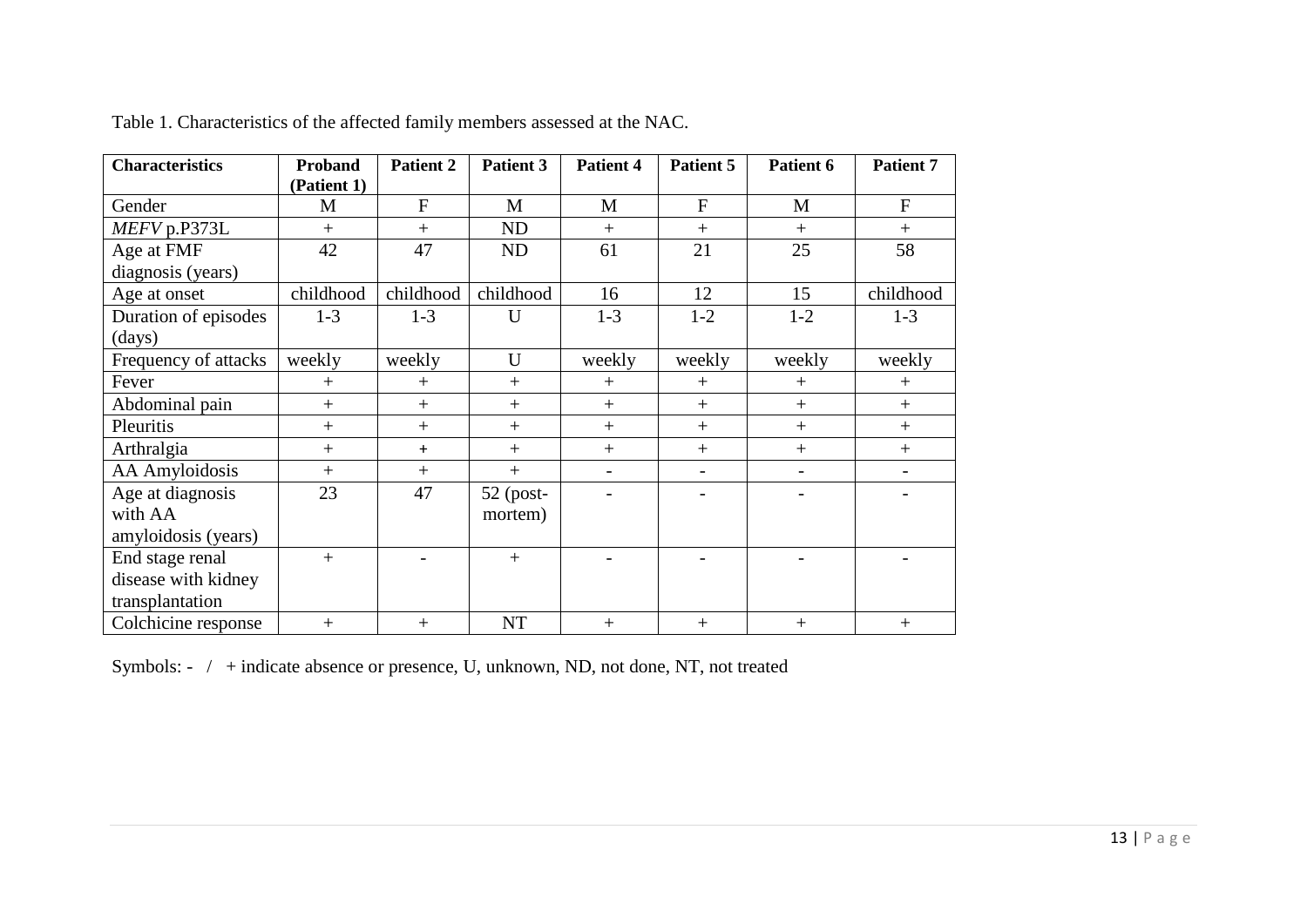| <b>Characteristics</b> | <b>Proband</b> | Patient 2    | Patient 3 | <b>Patient 4</b>         | Patient 5                | Patient 6                | <b>Patient 7</b>         |
|------------------------|----------------|--------------|-----------|--------------------------|--------------------------|--------------------------|--------------------------|
|                        | (Patient 1)    |              |           |                          |                          |                          |                          |
| Gender                 | M              | $\mathbf{F}$ | M         | M                        | $\mathbf{F}$             | M                        | $\mathbf{F}$             |
| MEFV p.P373L           | $+$            | $+$          | ND        | $+$                      | $+$                      | $+$                      | $+$                      |
| Age at FMF             | 42             | 47           | ND        | 61                       | 21                       | 25                       | 58                       |
| diagnosis (years)      |                |              |           |                          |                          |                          |                          |
| Age at onset           | childhood      | childhood    | childhood | 16                       | 12                       | 15                       | childhood                |
| Duration of episodes   | $1-3$          | $1-3$        | U         | $1-3$                    | $1 - 2$                  | $1-2$                    | $1-3$                    |
| (days)                 |                |              |           |                          |                          |                          |                          |
| Frequency of attacks   | weekly         | weekly       | U         | weekly                   | weekly                   | weekly                   | weekly                   |
| Fever                  | $+$            | $^{+}$       | $+$       | $+$                      | $^{+}$                   | $^{+}$                   | $^{+}$                   |
| Abdominal pain         | $+$            | $+$          | $+$       | $+$                      | $+$                      | $^{+}$                   | $+$                      |
| Pleuritis              | $+$            | $+$          | $+$       | $+$                      | $+$                      | $+$                      | $+$                      |
| Arthralgia             | $+$            | $\ddot{}$    | $+$       |                          | $+$                      | $+$                      | $+$                      |
| <b>AA</b> Amyloidosis  | $+$            | $+$          | $+$       | $\overline{\phantom{a}}$ | $\overline{\phantom{a}}$ | $\overline{\phantom{a}}$ | $\overline{\phantom{a}}$ |
| Age at diagnosis       | 23             | 47           | 52 (post- |                          |                          |                          |                          |
| with AA                |                |              | mortem)   |                          |                          |                          |                          |
| amyloidosis (years)    |                |              |           |                          |                          |                          |                          |
| End stage renal        | $+$            |              | $+$       |                          |                          |                          |                          |
| disease with kidney    |                |              |           |                          |                          |                          |                          |
| transplantation        |                |              |           |                          |                          |                          |                          |
| Colchicine response    | $+$            | $+$          | <b>NT</b> | $+$                      | $+$                      | $+$                      | $+$                      |

Table 1. Characteristics of the affected family members assessed at the NAC.

Symbols: - / + indicate absence or presence, U, unknown, ND, not done, NT, not treated